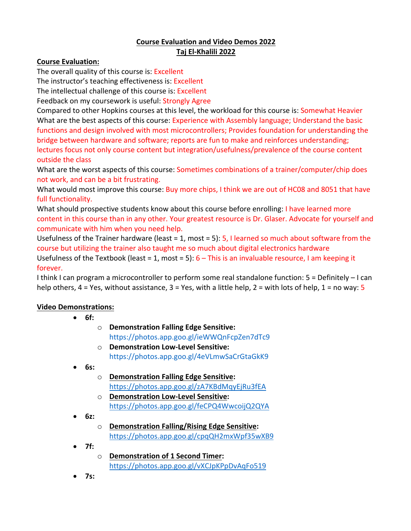**Video Demonstrations:**

- **6f:**
- o **Demonstration Falling Edge Sensitive:**  https://photos.app.goo.gl/ieWWQnFcpZen7dTc9
- o **Demonstration Low-Level Sensitive:** https://photos.app.goo.gl/4eVLmwSaCrGtaGkK9
- **6s:**
	- o **Demonstration Falling Edge Sensitive:** https://photos.app.goo.gl/zA7KBdMqyEjRu3fEA
	- o **Demonstration Low-Level Sensitive:** https://photos.app.goo.gl/feCPQ4WwcoijQ2QYA
- **6z:**
	- o **Demonstration Falling/Rising Edge Sensitive:**  https://photos.app.goo.gl/cpqQH2mxWpf35wXB9
- **7f:**
	- o **Demonstration of 1 Second Timer:**  https://photos.app.goo.gl/vXCJpKPpDvAqFo519
- **7s:**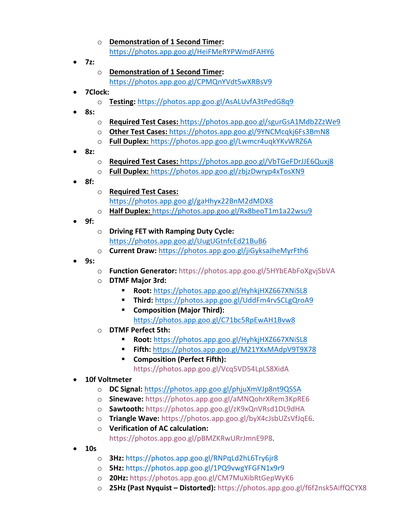- o **Demonstration of 1 Second Timer:** https://photos.app.goo.gl/HeiFMeRYPWmdFAHY6
- **7z:**
- o **Demonstration of 1 Second Timer:**  https://photos.app.goo.gl/CPMQnYVdt5wXRBsV9
- **7Clock:**
	- o **Testing:** https://photos.app.goo.gl/AsALUvfA3tPedG8q9
- **8s:**
- o **Required Test Cases:** https://photos.app.goo.gl/sgurGsA1Mdb2ZzWe9
- o **Other Test Cases:** https://photos.app.goo.gl/9YNCMcqkj6Fs3BmN8
- o **Full Duplex:** https://photos.app.goo.gl/Lwmcr4uqkYKvWRZ6A
- **8z:**
	- o **Required Test Cases:** https://photos.app.goo.gl/VbTGeFDrJJE6Quxj8
	- o **Full Duplex:** https://photos.app.goo.gl/zbjzDwryp4xTosXN9
- **8f:**
- o **Required Test Cases:**  https://photos.app.goo.gl/gaHhyx22BnM2dMDX8
- o **Half Duplex:** https://photos.app.goo.gl/Rx8beoT1m1a22wsu9
- **9f:**
	- o **Driving FET with Ramping Duty Cycle:**  https://photos.app.goo.gl/UugUGtnfcEd21BuB6
	- o **Current Draw:** https://photos.app.goo.gl/jiGyksaJheMyrFth6
- **9s:**
	- o **Function Generator:** https://photos.app.goo.gl/5HYbEAbFoXgvjSbVA
	- o **DTMF Major 3rd:**
		- § **Root:** https://photos.app.goo.gl/HyhkjHXZ667XNiSL8
		- § **Third:** https://photos.app.goo.gl/UddFm4rvSCLgQroA9
		- § **Composition (Major Third):** 
			- https://photos.app.goo.gl/C71bc5RpEwAH1Bvw8
	- o **DTMF Perfect 5th:**
		- § **Root:** https://photos.app.goo.gl/HyhkjHXZ667XNiSL8
		- § **Fifth:** https://photos.app.goo.gl/M21YXxMAdpV9T9X78
		- Composition (Perfect Fifth): https://photos.app.goo.gl/Vcq5VD54LpLS8XidA
- **10f Voltmeter**
	- o **DC Signal:** https://photos.app.goo.gl/phjuXmVJp8nt9QSSA
	- o **Sinewave:** https://photos.app.goo.gl/aMNQohrXRem3KpRE6
	- o **Sawtooth:** https://photos.app.goo.gl/zK9xQnVRsd1DL9dHA
	- o **Triangle Wave:** https://photos.app.goo.gl/byX4cJsbUZsVfJqE6.
	- o **Verification of AC calculation:**  https://photos.app.goo.gl/pBMZKRwURrJmnE9P8.
- **10s**
	- o **3Hz:** https://photos.app.goo.gl/RNPqLd2hL6Try6jr8
	- o **5Hz:** https://photos.app.goo.gl/1PQ9vwgYFGFN1x9r9
	- o **20Hz:** https://photos.app.goo.gl/CM7MuXibRtGepWyK6
	- o **25Hz (Past Nyquist – Distorted):** https://photos.app.goo.gl/f6f2nsk5AiffQCYX8